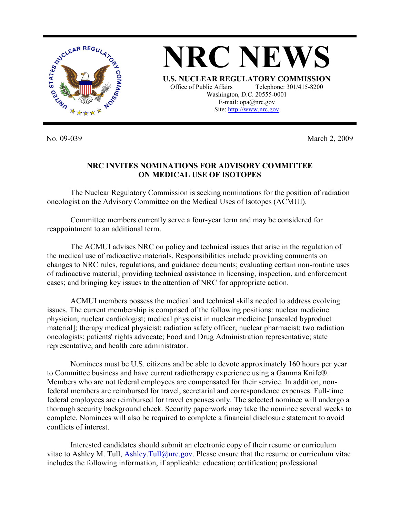

**NRC NEWS U.S. NUCLEAR REGULATORY COMMISSION** Office of Public Affairs Telephone: 301/415-8200 Washington, D.C. 20555-0001 E-mail: opa@nrc.gov Site: http://www.nrc.gov

No. 09-039 March 2, 2009

## **NRC INVITES NOMINATIONS FOR ADVISORY COMMITTEE ON MEDICAL USE OF ISOTOPES**

 The Nuclear Regulatory Commission is seeking nominations for the position of radiation oncologist on the Advisory Committee on the Medical Uses of Isotopes (ACMUI).

 Committee members currently serve a four-year term and may be considered for reappointment to an additional term.

 The ACMUI advises NRC on policy and technical issues that arise in the regulation of the medical use of radioactive materials. Responsibilities include providing comments on changes to NRC rules, regulations, and guidance documents; evaluating certain non-routine uses of radioactive material; providing technical assistance in licensing, inspection, and enforcement cases; and bringing key issues to the attention of NRC for appropriate action.

 ACMUI members possess the medical and technical skills needed to address evolving issues. The current membership is comprised of the following positions: nuclear medicine physician; nuclear cardiologist; medical physicist in nuclear medicine [unsealed byproduct material]; therapy medical physicist; radiation safety officer; nuclear pharmacist; two radiation oncologists; patients' rights advocate; Food and Drug Administration representative; state representative; and health care administrator.

 Nominees must be U.S. citizens and be able to devote approximately 160 hours per year to Committee business and have current radiotherapy experience using a Gamma Knife®. Members who are not federal employees are compensated for their service. In addition, nonfederal members are reimbursed for travel, secretarial and correspondence expenses. Full-time federal employees are reimbursed for travel expenses only. The selected nominee will undergo a thorough security background check. Security paperwork may take the nominee several weeks to complete. Nominees will also be required to complete a financial disclosure statement to avoid conflicts of interest.

 Interested candidates should submit an electronic copy of their resume or curriculum vitae to Ashley M. Tull, Ashley.Tull@nrc.gov. Please ensure that the resume or curriculum vitae includes the following information, if applicable: education; certification; professional